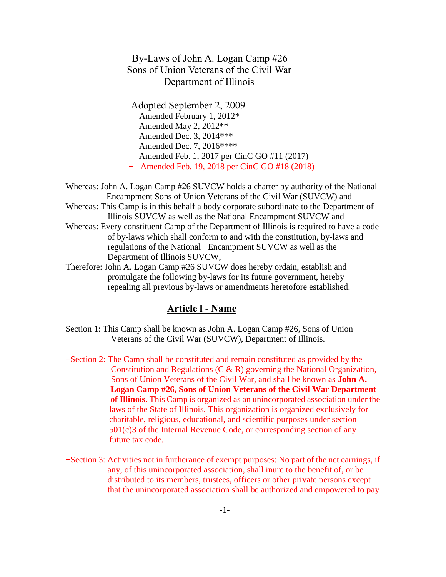## By-Laws of John A. Logan Camp #26 Sons of Union Veterans of the Civil War Department of Illinois

 Adopted September 2, 2009 Amended February 1, 2012\* Amended May 2, 2012\*\* Amended Dec. 3, 2014\*\*\* Amended Dec. 7, 2016\*\*\*\* Amended Feb. 1, 2017 per CinC GO #11 (2017) + Amended Feb. 19, 2018 per CinC GO #18 (2018)

Whereas: John A. Logan Camp #26 SUVCW holds a charter by authority of the National Encampment Sons of Union Veterans of the Civil War (SUVCW) and Whereas: This Camp is in this behalf a body corporate subordinate to the Department of Illinois SUVCW as well as the National Encampment SUVCW and Whereas: Every constituent Camp of the Department of Illinois is required to have a code of by-laws which shall conform to and with the constitution, by-laws and regulations of the National Encampment SUVCW as well as the Department of Illinois SUVCW,

Therefore: John A. Logan Camp #26 SUVCW does hereby ordain, establish and promulgate the following by-laws for its future government, hereby repealing all previous by-laws or amendments heretofore established.

## **Article l - Name**

- Section 1: This Camp shall be known as John A. Logan Camp #26, Sons of Union Veterans of the Civil War (SUVCW), Department of Illinois.
- +Section 2: The Camp shall be constituted and remain constituted as provided by the Constitution and Regulations (C & R) governing the National Organization, Sons of Union Veterans of the Civil War, and shall be known as **John A. Logan Camp #26, Sons of Union Veterans of the Civil War Department of Illinois**. This Camp is organized as an unincorporated association under the laws of the State of Illinois. This organization is organized exclusively for charitable, religious, educational, and scientific purposes under section 501(c)3 of the Internal Revenue Code, or corresponding section of any future tax code.
- +Section 3: Activities not in furtherance of exempt purposes: No part of the net earnings, if any, of this unincorporated association, shall inure to the benefit of, or be distributed to its members, trustees, officers or other private persons except that the unincorporated association shall be authorized and empowered to pay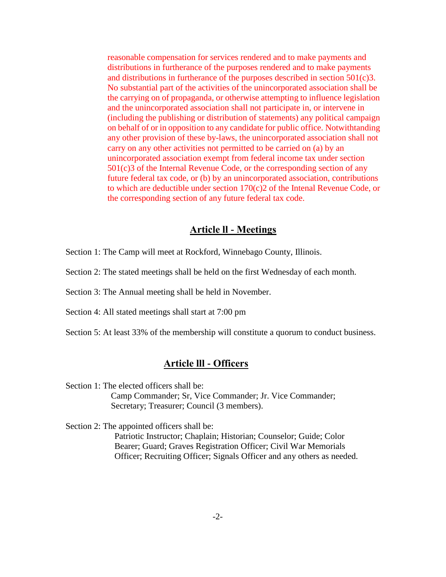reasonable compensation for services rendered and to make payments and distributions in furtherance of the purposes rendered and to make payments and distributions in furtherance of the purposes described in section 501(c)3. No substantial part of the activities of the unincorporated association shall be the carrying on of propaganda, or otherwise attempting to influence legislation and the unincorporated association shall not participate in, or intervene in (including the publishing or distribution of statements) any political campaign on behalf of or in opposition to any candidate for public office. Notwithtanding any other provision of these by-laws, the unincorporated association shall not carry on any other activities not permitted to be carried on (a) by an unincorporated association exempt from federal income tax under section 501(c)3 of the Internal Revenue Code, or the corresponding section of any future federal tax code, or (b) by an unincorporated association, contributions to which are deductible under section 170(c)2 of the Intenal Revenue Code, or the corresponding section of any future federal tax code.

#### **Article ll - Meetings**

Section 1: The Camp will meet at Rockford, Winnebago County, Illinois.

Section 2: The stated meetings shall be held on the first Wednesday of each month.

Section 3: The Annual meeting shall be held in November.

Section 4: All stated meetings shall start at 7:00 pm

Section 5: At least 33% of the membership will constitute a quorum to conduct business.

#### **Article lll - Officers**

Section 1: The elected officers shall be: Camp Commander; Sr, Vice Commander; Jr. Vice Commander; Secretary; Treasurer; Council (3 members).

Section 2: The appointed officers shall be:

 Patriotic Instructor; Chaplain; Historian; Counselor; Guide; Color Bearer; Guard; Graves Registration Officer; Civil War Memorials Officer; Recruiting Officer; Signals Officer and any others as needed.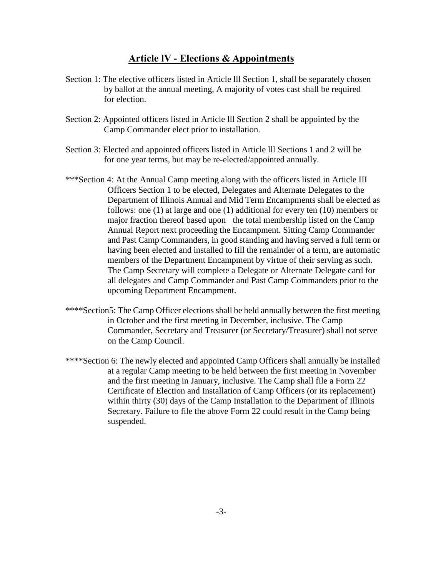### **Article lV - Elections & Appointments**

- Section 1: The elective officers listed in Article III Section 1, shall be separately chosen by ballot at the annual meeting, A majority of votes cast shall be required for election.
- Section 2: Appointed officers listed in Article lll Section 2 shall be appointed by the Camp Commander elect prior to installation.
- Section 3: Elected and appointed officers listed in Article lll Sections 1 and 2 will be for one year terms, but may be re-elected/appointed annually.
- \*\*\*Section 4: At the Annual Camp meeting along with the officers listed in Article III Officers Section 1 to be elected, Delegates and Alternate Delegates to the Department of Illinois Annual and Mid Term Encampments shall be elected as follows: one (1) at large and one (1) additional for every ten (10) members or major fraction thereof based upon the total membership listed on the Camp Annual Report next proceeding the Encampment. Sitting Camp Commander and Past Camp Commanders, in good standing and having served a full term or having been elected and installed to fill the remainder of a term, are automatic members of the Department Encampment by virtue of their serving as such. The Camp Secretary will complete a Delegate or Alternate Delegate card for all delegates and Camp Commander and Past Camp Commanders prior to the upcoming Department Encampment.
- \*\*\*\*Section5: The Camp Officer elections shall be held annually between the first meeting in October and the first meeting in December, inclusive. The Camp Commander, Secretary and Treasurer (or Secretary/Treasurer) shall not serve on the Camp Council.
- \*\*\*\*Section 6: The newly elected and appointed Camp Officers shall annually be installed at a regular Camp meeting to be held between the first meeting in November and the first meeting in January, inclusive. The Camp shall file a Form 22 Certificate of Election and Installation of Camp Officers (or its replacement) within thirty (30) days of the Camp Installation to the Department of Illinois Secretary. Failure to file the above Form 22 could result in the Camp being suspended.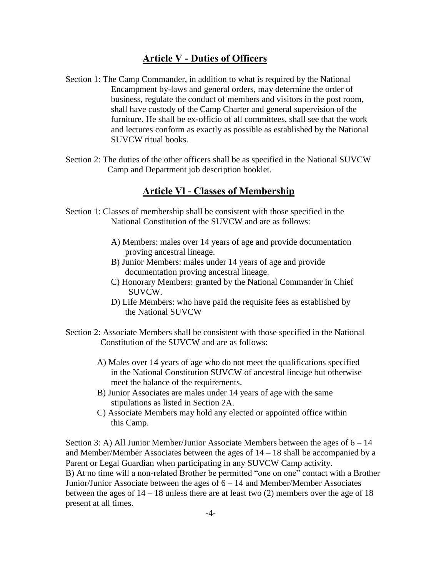### **Article V - Duties of Officers**

- Section 1: The Camp Commander, in addition to what is required by the National Encampment by-laws and general orders, may determine the order of business, regulate the conduct of members and visitors in the post room, shall have custody of the Camp Charter and general supervision of the furniture. He shall be ex-officio of all committees, shall see that the work and lectures conform as exactly as possible as established by the National SUVCW ritual books.
- Section 2: The duties of the other officers shall be as specified in the National SUVCW Camp and Department job description booklet.

#### **Article Vl - Classes of Membership**

- Section 1: Classes of membership shall be consistent with those specified in the National Constitution of the SUVCW and are as follows:
	- A) Members: males over 14 years of age and provide documentation proving ancestral lineage.
	- B) Junior Members: males under 14 years of age and provide documentation proving ancestral lineage.
	- C) Honorary Members: granted by the National Commander in Chief SUVCW.
	- D) Life Members: who have paid the requisite fees as established by the National SUVCW
- Section 2: Associate Members shall be consistent with those specified in the National Constitution of the SUVCW and are as follows:
	- A) Males over 14 years of age who do not meet the qualifications specified in the National Constitution SUVCW of ancestral lineage but otherwise meet the balance of the requirements.
	- B) Junior Associates are males under 14 years of age with the same stipulations as listed in Section 2A.
	- C) Associate Members may hold any elected or appointed office within this Camp.

Section 3: A) All Junior Member/Junior Associate Members between the ages of 6 – 14 and Member/Member Associates between the ages of 14 – 18 shall be accompanied by a Parent or Legal Guardian when participating in any SUVCW Camp activity. B) At no time will a non-related Brother be permitted "one on one" contact with a Brother Junior/Junior Associate between the ages of  $6 - 14$  and Member/Member Associates between the ages of 14 – 18 unless there are at least two (2) members over the age of 18 present at all times.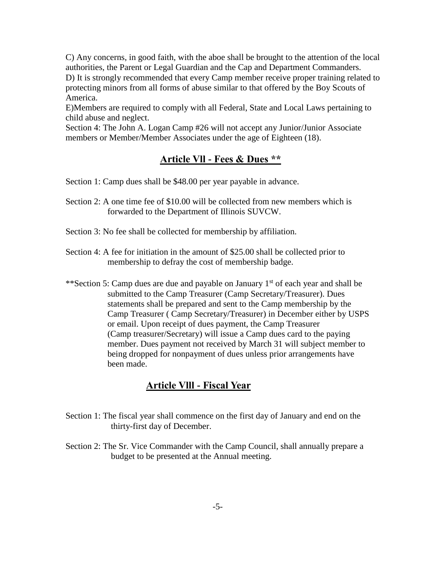C) Any concerns, in good faith, with the aboe shall be brought to the attention of the local authorities, the Parent or Legal Guardian and the Cap and Department Commanders. D) It is strongly recommended that every Camp member receive proper training related to protecting minors from all forms of abuse similar to that offered by the Boy Scouts of America.

E)Members are required to comply with all Federal, State and Local Laws pertaining to child abuse and neglect.

Section 4: The John A. Logan Camp #26 will not accept any Junior/Junior Associate members or Member/Member Associates under the age of Eighteen (18).

# **Article Vll - Fees & Dues \*\***

Section 1: Camp dues shall be \$48.00 per year payable in advance.

- Section 2: A one time fee of \$10.00 will be collected from new members which is forwarded to the Department of Illinois SUVCW.
- Section 3: No fee shall be collected for membership by affiliation.
- Section 4: A fee for initiation in the amount of \$25.00 shall be collected prior to membership to defray the cost of membership badge.
- \*\*Section 5: Camp dues are due and payable on January 1<sup>st</sup> of each year and shall be submitted to the Camp Treasurer (Camp Secretary/Treasurer). Dues statements shall be prepared and sent to the Camp membership by the Camp Treasurer ( Camp Secretary/Treasurer) in December either by USPS or email. Upon receipt of dues payment, the Camp Treasurer (Camp treasurer/Secretary) will issue a Camp dues card to the paying member. Dues payment not received by March 31 will subject member to being dropped for nonpayment of dues unless prior arrangements have been made.

### **Article Vlll - Fiscal Year**

- Section 1: The fiscal year shall commence on the first day of January and end on the thirty-first day of December.
- Section 2: The Sr. Vice Commander with the Camp Council, shall annually prepare a budget to be presented at the Annual meeting.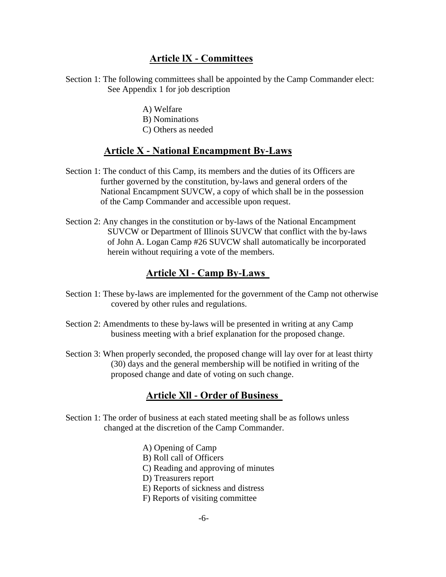## **Article lX - Committees**

Section 1: The following committees shall be appointed by the Camp Commander elect: See Appendix 1 for job description

> A) Welfare B) Nominations C) Others as needed

## **Article X - National Encampment By-Laws**

- Section 1: The conduct of this Camp, its members and the duties of its Officers are further governed by the constitution, by-laws and general orders of the National Encampment SUVCW, a copy of which shall be in the possession of the Camp Commander and accessible upon request.
- Section 2: Any changes in the constitution or by-laws of the National Encampment SUVCW or Department of Illinois SUVCW that conflict with the by-laws of John A. Logan Camp #26 SUVCW shall automatically be incorporated herein without requiring a vote of the members.

# **Article Xl - Camp By-Laws**

- Section 1: These by-laws are implemented for the government of the Camp not otherwise covered by other rules and regulations.
- Section 2: Amendments to these by-laws will be presented in writing at any Camp business meeting with a brief explanation for the proposed change.
- Section 3: When properly seconded, the proposed change will lay over for at least thirty (30) days and the general membership will be notified in writing of the proposed change and date of voting on such change.

# **Article Xll - Order of Business**

- Section 1: The order of business at each stated meeting shall be as follows unless changed at the discretion of the Camp Commander.
	- A) Opening of Camp
	- B) Roll call of Officers
	- C) Reading and approving of minutes
	- D) Treasurers report
	- E) Reports of sickness and distress
	- F) Reports of visiting committee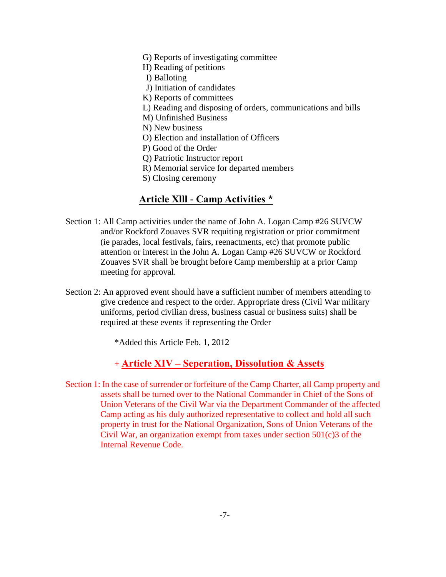- G) Reports of investigating committee
- H) Reading of petitions
- I) Balloting
- J) Initiation of candidates
- K) Reports of committees
- L) Reading and disposing of orders, communications and bills
- M) Unfinished Business
- N) New business
- O) Election and installation of Officers
- P) Good of the Order
- Q) Patriotic Instructor report
- R) Memorial service for departed members
- S) Closing ceremony

## **Article Xlll - Camp Activities \***

- Section 1: All Camp activities under the name of John A. Logan Camp #26 SUVCW and/or Rockford Zouaves SVR requiting registration or prior commitment (ie parades, local festivals, fairs, reenactments, etc) that promote public attention or interest in the John A. Logan Camp #26 SUVCW or Rockford Zouaves SVR shall be brought before Camp membership at a prior Camp meeting for approval.
- Section 2: An approved event should have a sufficient number of members attending to give credence and respect to the order. Appropriate dress (Civil War military uniforms, period civilian dress, business casual or business suits) shall be required at these events if representing the Order

\*Added this Article Feb. 1, 2012

### + **Article XIV – Seperation, Dissolution & Assets**

Section 1: In the case of surrender or forfeiture of the Camp Charter, all Camp property and assets shall be turned over to the National Commander in Chief of the Sons of Union Veterans of the Civil War via the Department Commander of the affected Camp acting as his duly authorized representative to collect and hold all such property in trust for the National Organization, Sons of Union Veterans of the Civil War, an organization exempt from taxes under section 501(c)3 of the Internal Revenue Code.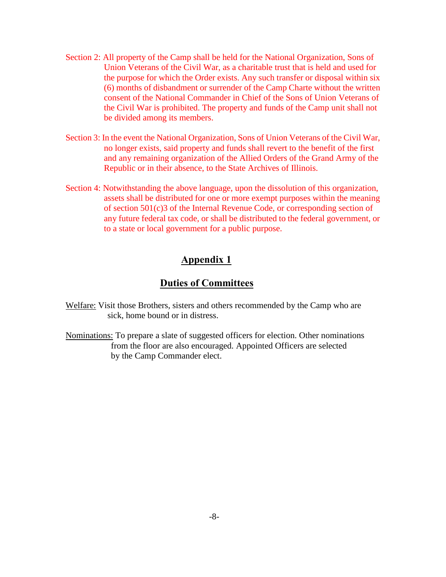- Section 2: All property of the Camp shall be held for the National Organization, Sons of Union Veterans of the Civil War, as a charitable trust that is held and used for the purpose for which the Order exists. Any such transfer or disposal within six (6) months of disbandment or surrender of the Camp Charte without the written consent of the National Commander in Chief of the Sons of Union Veterans of the Civil War is prohibited. The property and funds of the Camp unit shall not be divided among its members.
- Section 3: In the event the National Organization, Sons of Union Veterans of the Civil War, no longer exists, said property and funds shall revert to the benefit of the first and any remaining organization of the Allied Orders of the Grand Army of the Republic or in their absence, to the State Archives of Illinois.
- Section 4: Notwithstanding the above language, upon the dissolution of this organization, assets shall be distributed for one or more exempt purposes within the meaning of section 501(c)3 of the Internal Revenue Code, or corresponding section of any future federal tax code, or shall be distributed to the federal government, or to a state or local government for a public purpose.

## **Appendix 1**

## **Duties of Committees**

- Welfare: Visit those Brothers, sisters and others recommended by the Camp who are sick, home bound or in distress.
- Nominations: To prepare a slate of suggested officers for election. Other nominations from the floor are also encouraged. Appointed Officers are selected by the Camp Commander elect.